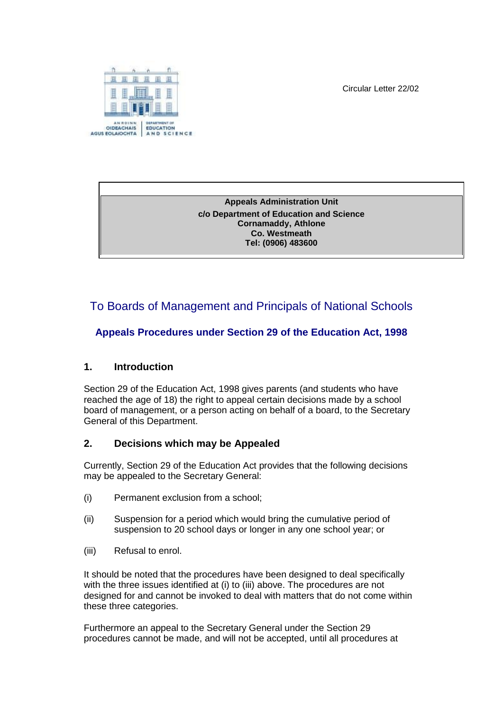Circular Letter 22/02



**Appeals Administration Unit c/o Department of Education and Science Cornamaddy, Athlone Co. Westmeath Tel: (0906) 483600**

# To Boards of Management and Principals of National Schools

### **Appeals Procedures under Section 29 of the Education Act, 1998**

#### **1. Introduction**

Section 29 of the Education Act, 1998 gives parents (and students who have reached the age of 18) the right to appeal certain decisions made by a school board of management, or a person acting on behalf of a board, to the Secretary General of this Department.

#### **2. Decisions which may be Appealed**

Currently, Section 29 of the Education Act provides that the following decisions may be appealed to the Secretary General:

- (i) Permanent exclusion from a school;
- (ii) Suspension for a period which would bring the cumulative period of suspension to 20 school days or longer in any one school year; or
- (iii) Refusal to enrol.

It should be noted that the procedures have been designed to deal specifically with the three issues identified at (i) to (iii) above. The procedures are not designed for and cannot be invoked to deal with matters that do not come within these three categories.

Furthermore an appeal to the Secretary General under the Section 29 procedures cannot be made, and will not be accepted, until all procedures at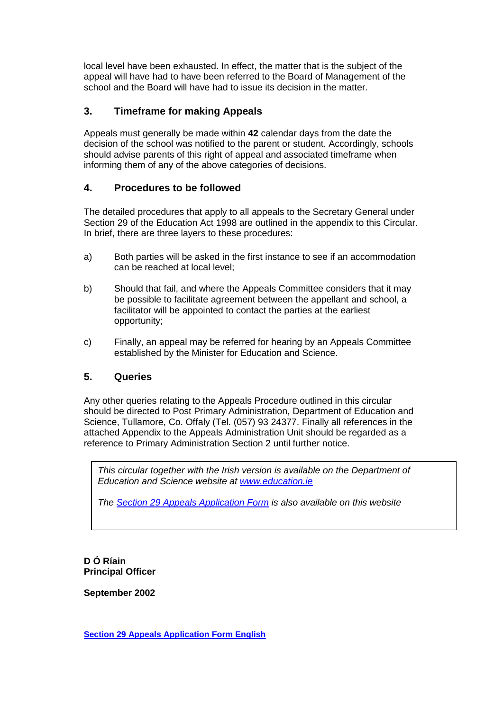local level have been exhausted. In effect, the matter that is the subject of the appeal will have had to have been referred to the Board of Management of the school and the Board will have had to issue its decision in the matter.

#### **3. Timeframe for making Appeals**

Appeals must generally be made within **42** calendar days from the date the decision of the school was notified to the parent or student. Accordingly, schools should advise parents of this right of appeal and associated timeframe when informing them of any of the above categories of decisions.

#### **4. Procedures to be followed**

The detailed procedures that apply to all appeals to the Secretary General under Section 29 of the Education Act 1998 are outlined in the appendix to this Circular. In brief, there are three layers to these procedures:

- a) Both parties will be asked in the first instance to see if an accommodation can be reached at local level;
- b) Should that fail, and where the Appeals Committee considers that it may be possible to facilitate agreement between the appellant and school, a facilitator will be appointed to contact the parties at the earliest opportunity;
- c) Finally, an appeal may be referred for hearing by an Appeals Committee established by the Minister for Education and Science.

#### **5. Queries**

Any other queries relating to the Appeals Procedure outlined in this circular should be directed to Post Primary Administration, Department of Education and Science, Tullamore, Co. Offaly (Tel. (057) 93 24377. Finally all references in the attached Appendix to the Appeals Administration Unit should be regarded as a reference to Primary Administration Section 2 until further notice.

*This circular together with the Irish version is available on the Department of Education and Science website at [www.education.ie](http://www.education.ie/)*

*The [Section 29 Appeals Application Form](http://www.education.ie/en/Parents/Services/Appeal-against-Permanent-Exclusion-Suspension-or-Refusal-to-Enrol/Section-29-Appeals-Application-Form.doc) is also available on this website*

**D Ó Ríain Principal Officer**

**September 2002**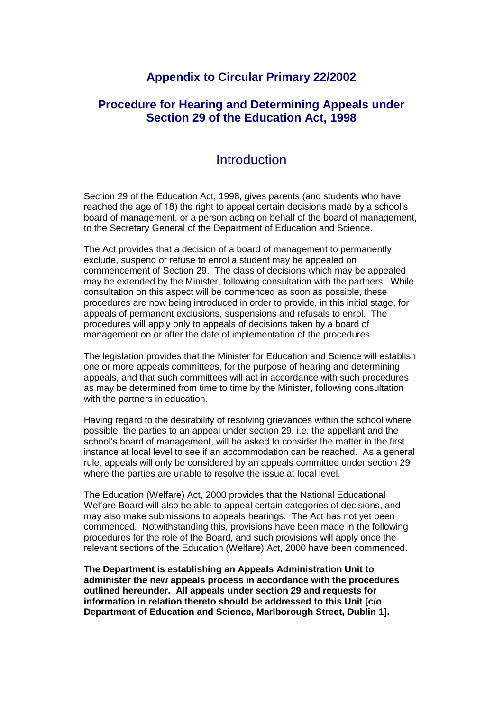### **Appendix to Circular Primary 22/2002**

### **Procedure for Hearing and Determining Appeals under Section 29 of the Education Act, 1998**

## **Introduction**

Section 29 of the Education Act, 1998, gives parents (and students who have reached the age of 18) the right to appeal certain decisions made by a school's board of management, or a person acting on behalf of the board of management, to the Secretary General of the Department of Education and Science.

The Act provides that a decision of a board of management to permanently exclude, suspend or refuse to enrol a student may be appealed on commencement of Section 29. The class of decisions which may be appealed may be extended by the Minister, following consultation with the partners. While consultation on this aspect will be commenced as soon as possible, these procedures are now being introduced in order to provide, in this initial stage, for appeals of permanent exclusions, suspensions and refusals to enrol. The procedures will apply only to appeals of decisions taken by a board of management on or after the date of implementation of the procedures.

The legislation provides that the Minister for Education and Science will establish one or more appeals committees, for the purpose of hearing and determining appeals, and that such committees will act in accordance with such procedures as may be determined from time to time by the Minister, following consultation with the partners in education.

Having regard to the desirability of resolving grievances within the school where possible, the parties to an appeal under section 29, i.e. the appellant and the school's board of management, will be asked to consider the matter in the first instance at local level to see if an accommodation can be reached. As a general rule, appeals will only be considered by an appeals committee under section 29 where the parties are unable to resolve the issue at local level.

The Education (Welfare) Act, 2000 provides that the National Educational Welfare Board will also be able to appeal certain categories of decisions, and may also make submissions to appeals hearings. The Act has not yet been commenced. Notwithstanding this, provisions have been made in the following procedures for the role of the Board, and such provisions will apply once the relevant sections of the Education (Welfare) Act, 2000 have been commenced.

**The Department is establishing an Appeals Administration Unit to administer the new appeals process in accordance with the procedures outlined hereunder. All appeals under section 29 and requests for information in relation thereto should be addressed to this Unit [c/o Department of Education and Science, Marlborough Street, Dublin 1].**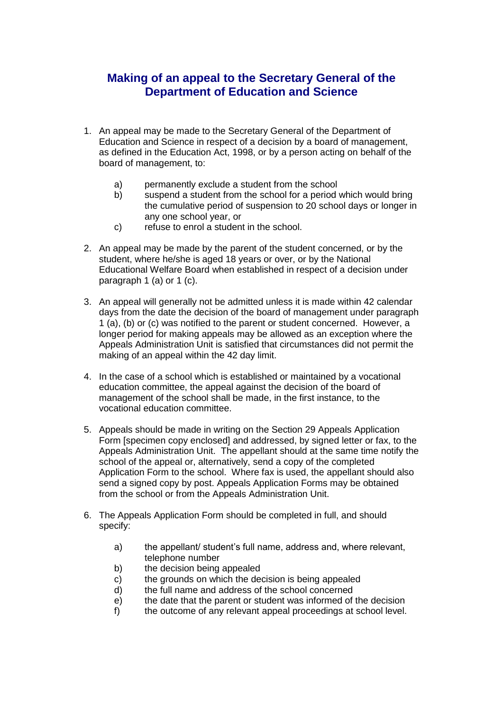# **Making of an appeal to the Secretary General of the Department of Education and Science**

- 1. An appeal may be made to the Secretary General of the Department of Education and Science in respect of a decision by a board of management, as defined in the Education Act, 1998, or by a person acting on behalf of the board of management, to:
	- a) permanently exclude a student from the school
	- b) suspend a student from the school for a period which would bring the cumulative period of suspension to 20 school days or longer in any one school year, or
	- c) refuse to enrol a student in the school.
- 2. An appeal may be made by the parent of the student concerned, or by the student, where he/she is aged 18 years or over, or by the National Educational Welfare Board when established in respect of a decision under paragraph 1 (a) or 1 (c).
- 3. An appeal will generally not be admitted unless it is made within 42 calendar days from the date the decision of the board of management under paragraph 1 (a), (b) or (c) was notified to the parent or student concerned. However, a longer period for making appeals may be allowed as an exception where the Appeals Administration Unit is satisfied that circumstances did not permit the making of an appeal within the 42 day limit.
- 4. In the case of a school which is established or maintained by a vocational education committee, the appeal against the decision of the board of management of the school shall be made, in the first instance, to the vocational education committee.
- 5. Appeals should be made in writing on the Section 29 Appeals Application Form [specimen copy enclosed] and addressed, by signed letter or fax, to the Appeals Administration Unit.The appellant should at the same time notify the school of the appeal or, alternatively, send a copy of the completed Application Form to the school. Where fax is used, the appellant should also send a signed copy by post. Appeals Application Forms may be obtained from the school or from the Appeals Administration Unit.
- 6. The Appeals Application Form should be completed in full, and should specify:
	- a) the appellant/ student's full name, address and, where relevant, telephone number
	- b) the decision being appealed
	- c) the grounds on which the decision is being appealed
	- d) the full name and address of the school concerned
	- e) the date that the parent or student was informed of the decision
	- f) the outcome of any relevant appeal proceedings at school level.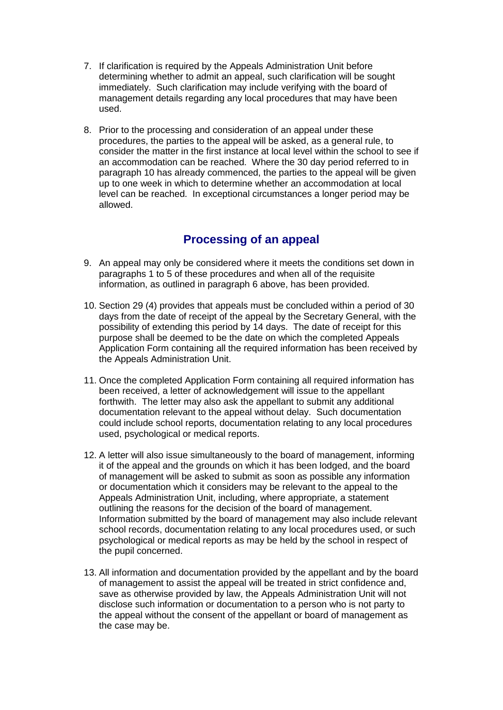- 7. If clarification is required by the Appeals Administration Unit before determining whether to admit an appeal, such clarification will be sought immediately. Such clarification may include verifying with the board of management details regarding any local procedures that may have been used.
- 8. Prior to the processing and consideration of an appeal under these procedures, the parties to the appeal will be asked, as a general rule, to consider the matter in the first instance at local level within the school to see if an accommodation can be reached. Where the 30 day period referred to in paragraph 10 has already commenced, the parties to the appeal will be given up to one week in which to determine whether an accommodation at local level can be reached. In exceptional circumstances a longer period may be allowed.

# **Processing of an appeal**

- 9. An appeal may only be considered where it meets the conditions set down in paragraphs 1 to 5 of these procedures and when all of the requisite information, as outlined in paragraph 6 above, has been provided.
- 10. Section 29 (4) provides that appeals must be concluded within a period of 30 days from the date of receipt of the appeal by the Secretary General, with the possibility of extending this period by 14 days. The date of receipt for this purpose shall be deemed to be the date on which the completed Appeals Application Form containing all the required information has been received by the Appeals Administration Unit.
- 11. Once the completed Application Form containing all required information has been received, a letter of acknowledgement will issue to the appellant forthwith. The letter may also ask the appellant to submit any additional documentation relevant to the appeal without delay. Such documentation could include school reports, documentation relating to any local procedures used, psychological or medical reports.
- 12. A letter will also issue simultaneously to the board of management, informing it of the appeal and the grounds on which it has been lodged, and the board of management will be asked to submit as soon as possible any information or documentation which it considers may be relevant to the appeal to the Appeals Administration Unit, including, where appropriate, a statement outlining the reasons for the decision of the board of management. Information submitted by the board of management may also include relevant school records, documentation relating to any local procedures used, or such psychological or medical reports as may be held by the school in respect of the pupil concerned.
- 13. All information and documentation provided by the appellant and by the board of management to assist the appeal will be treated in strict confidence and, save as otherwise provided by law, the Appeals Administration Unit will not disclose such information or documentation to a person who is not party to the appeal without the consent of the appellant or board of management as the case may be.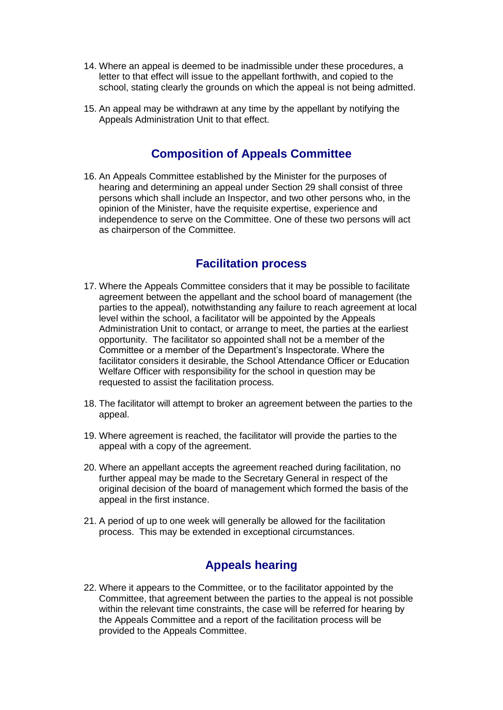- 14. Where an appeal is deemed to be inadmissible under these procedures, a letter to that effect will issue to the appellant forthwith, and copied to the school, stating clearly the grounds on which the appeal is not being admitted.
- 15. An appeal may be withdrawn at any time by the appellant by notifying the Appeals Administration Unit to that effect.

### **Composition of Appeals Committee**

16. An Appeals Committee established by the Minister for the purposes of hearing and determining an appeal under Section 29 shall consist of three persons which shall include an Inspector, and two other persons who, in the opinion of the Minister, have the requisite expertise, experience and independence to serve on the Committee. One of these two persons will act as chairperson of the Committee.

## **Facilitation process**

- 17. Where the Appeals Committee considers that it may be possible to facilitate agreement between the appellant and the school board of management (the parties to the appeal), notwithstanding any failure to reach agreement at local level within the school, a facilitator will be appointed by the Appeals Administration Unit to contact, or arrange to meet, the parties at the earliest opportunity. The facilitator so appointed shall not be a member of the Committee or a member of the Department's Inspectorate. Where the facilitator considers it desirable, the School Attendance Officer or Education Welfare Officer with responsibility for the school in question may be requested to assist the facilitation process.
- 18. The facilitator will attempt to broker an agreement between the parties to the appeal.
- 19. Where agreement is reached, the facilitator will provide the parties to the appeal with a copy of the agreement.
- 20. Where an appellant accepts the agreement reached during facilitation, no further appeal may be made to the Secretary General in respect of the original decision of the board of management which formed the basis of the appeal in the first instance.
- 21. A period of up to one week will generally be allowed for the facilitation process. This may be extended in exceptional circumstances.

# **Appeals hearing**

22. Where it appears to the Committee, or to the facilitator appointed by the Committee, that agreement between the parties to the appeal is not possible within the relevant time constraints, the case will be referred for hearing by the Appeals Committee and a report of the facilitation process will be provided to the Appeals Committee.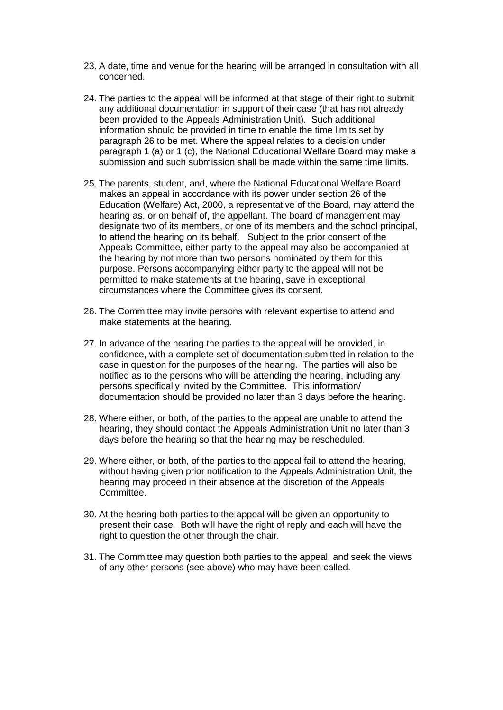- 23. A date, time and venue for the hearing will be arranged in consultation with all concerned.
- 24. The parties to the appeal will be informed at that stage of their right to submit any additional documentation in support of their case (that has not already been provided to the Appeals Administration Unit). Such additional information should be provided in time to enable the time limits set by paragraph 26 to be met. Where the appeal relates to a decision under paragraph 1 (a) or 1 (c), the National Educational Welfare Board may make a submission and such submission shall be made within the same time limits.
- 25. The parents, student, and, where the National Educational Welfare Board makes an appeal in accordance with its power under section 26 of the Education (Welfare) Act, 2000, a representative of the Board, may attend the hearing as, or on behalf of, the appellant. The board of management may designate two of its members, or one of its members and the school principal, to attend the hearing on its behalf.Subject to the prior consent of the Appeals Committee, either party to the appeal may also be accompanied at the hearing by not more than two persons nominated by them for this purpose. Persons accompanying either party to the appeal will not be permitted to make statements at the hearing, save in exceptional circumstances where the Committee gives its consent.
- 26. The Committee may invite persons with relevant expertise to attend and make statements at the hearing.
- 27. In advance of the hearing the parties to the appeal will be provided, in confidence, with a complete set of documentation submitted in relation to the case in question for the purposes of the hearing. The parties will also be notified as to the persons who will be attending the hearing, including any persons specifically invited by the Committee. This information/ documentation should be provided no later than 3 days before the hearing.
- 28. Where either, or both, of the parties to the appeal are unable to attend the hearing, they should contact the Appeals Administration Unit no later than 3 days before the hearing so that the hearing may be rescheduled.
- 29. Where either, or both, of the parties to the appeal fail to attend the hearing, without having given prior notification to the Appeals Administration Unit, the hearing may proceed in their absence at the discretion of the Appeals Committee.
- 30. At the hearing both parties to the appeal will be given an opportunity to present their case. Both will have the right of reply and each will have the right to question the other through the chair.
- 31. The Committee may question both parties to the appeal, and seek the views of any other persons (see above) who may have been called.